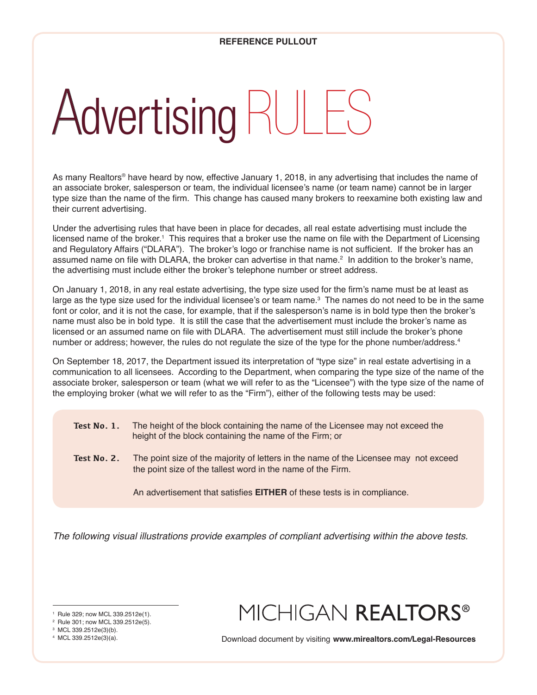# Advertising RULES

As many Realtors® have heard by now, effective January 1, 2018, in any advertising that includes the name of an associate broker, salesperson or team, the individual licensee's name (or team name) cannot be in larger type size than the name of the firm. This change has caused many brokers to reexamine both existing law and their current advertising.

Under the advertising rules that have been in place for decades, all real estate advertising must include the licensed name of the broker.1 This requires that a broker use the name on file with the Department of Licensing and Regulatory Affairs ("DLARA"). The broker's logo or franchise name is not sufficient. If the broker has an assumed name on file with DLARA, the broker can advertise in that name.<sup>2</sup> In addition to the broker's name, the advertising must include either the broker's telephone number or street address.

On January 1, 2018, in any real estate advertising, the type size used for the firm's name must be at least as large as the type size used for the individual licensee's or team name.<sup>3</sup> The names do not need to be in the same font or color, and it is not the case, for example, that if the salesperson's name is in bold type then the broker's name must also be in bold type. It is still the case that the advertisement must include the broker's name as licensed or an assumed name on file with DLARA. The advertisement must still include the broker's phone number or address; however, the rules do not regulate the size of the type for the phone number/address. $^{\text{4}}$ 

On September 18, 2017, the Department issued its interpretation of "type size" in real estate advertising in a communication to all licensees. According to the Department, when comparing the type size of the name of the associate broker, salesperson or team (what we will refer to as the "Licensee") with the type size of the name of the employing broker (what we will refer to as the "Firm"), either of the following tests may be used:

- **Test No. 1.** The height of the block containing the name of the Licensee may not exceed the height of the block containing the name of the Firm; or
- **Test No. 2.** The point size of the majority of letters in the name of the Licensee may not exceed the point size of the tallest word in the name of the Firm.

An advertisement that satisfies **EITHER** of these tests is in compliance.

*The following visual illustrations provide examples of compliant advertising within the above tests.*

<sup>1</sup> Rule 329; now MCL 339.2512e(1).

## MICHIGAN REALTORS®

<sup>4</sup> MCL 339.2512e(3)(a). Download document by visiting **www.mirealtors.com/Legal-Resources**

<sup>2</sup> Rule 301; now MCL 339.2512e(5).

<sup>3</sup> MCL 339.2512e(3)(b).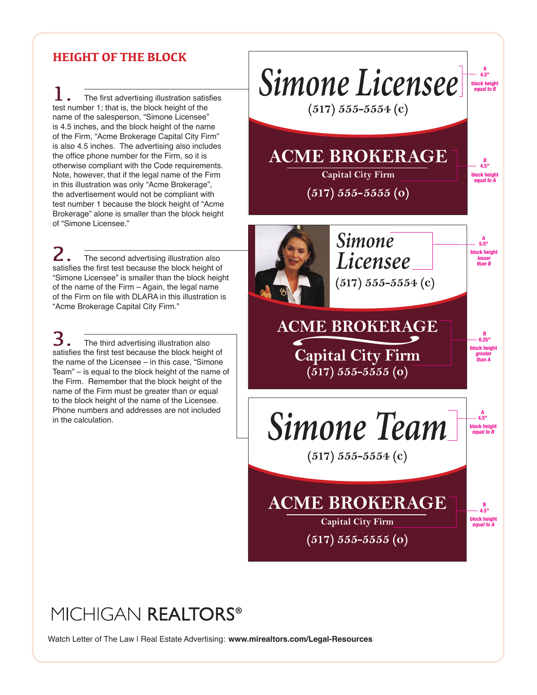#### **HEIGHT OF THE BLOCK**

The first advertising illustration satisfies test number 1; that is, the block height of the name of the salesperson, "Simone Licensee" is 4.5 inches, and the block height of the name of the Firm, "Acme Brokerage Capital City Firm" is also 4.5 inches. The advertising also includes the office phone number for the Firm, so it is otherwise compliant with the Code requirements. Note, however, that if the legal name of the Firm in this illustration was only "Acme Brokerage", the advertisement would not be compliant with test number 1 because the block height of "Acme Brokerage" alone is smaller than the block height of "Simone Licensee."

The second advertising illustration also satisfies the first test because the block height of "Simone Licensee" is smaller than the block height of the name of the Firm – Again, the legal name of the Firm on file with DLARA in this illustration is "Acme Brokerage Capital City Firm."

The third advertising illustration also satisfies the first test because the block height of the name of the Licensee – in this case, "Simone Team" – is equal to the block height of the name of the Firm. Remember that the block height of the name of the Firm must be greater than or equal to the block height of the name of the Licensee. Phone numbers and addresses are not included in the calculation.



### MICHIGAN REALTORS®

Watch Letter of The Law | Real Estate Advertising: www.mirealtors.com/Legal-Resources